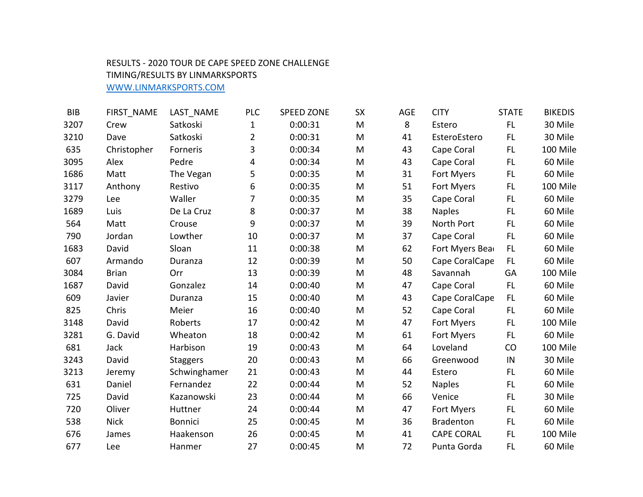## RESULTS - 2020 TOUR DE CAPE SPEED ZONE CHALLENGE

## TIMING/RESULTS BY LINMARKSPORTS

WWW.LINMARKSPORTS.COM

| <b>BIB</b> | FIRST_NAME   | LAST_NAME       | <b>PLC</b>     | <b>SPEED ZONE</b> | <b>SX</b> | AGE | <b>CITY</b>       | <b>STATE</b> | <b>BIKEDIS</b> |
|------------|--------------|-----------------|----------------|-------------------|-----------|-----|-------------------|--------------|----------------|
| 3207       | Crew         | Satkoski        | 1              | 0:00:31           | M         | 8   | Estero            | FL.          | 30 Mile        |
| 3210       | Dave         | Satkoski        | $\overline{2}$ | 0:00:31           | M         | 41  | EsteroEstero      | <b>FL</b>    | 30 Mile        |
| 635        | Christopher  | Forneris        | 3              | 0:00:34           | M         | 43  | Cape Coral        | FL.          | 100 Mile       |
| 3095       | Alex         | Pedre           | 4              | 0:00:34           | M         | 43  | Cape Coral        | FL.          | 60 Mile        |
| 1686       | Matt         | The Vegan       | 5              | 0:00:35           | M         | 31  | Fort Myers        | FL.          | 60 Mile        |
| 3117       | Anthony      | Restivo         | 6              | 0:00:35           | M         | 51  | Fort Myers        | FL.          | 100 Mile       |
| 3279       | Lee          | Waller          | 7              | 0:00:35           | M         | 35  | Cape Coral        | FL.          | 60 Mile        |
| 1689       | Luis         | De La Cruz      | 8              | 0:00:37           | M         | 38  | <b>Naples</b>     | FL.          | 60 Mile        |
| 564        | Matt         | Crouse          | 9              | 0:00:37           | M         | 39  | North Port        | FL.          | 60 Mile        |
| 790        | Jordan       | Lowther         | 10             | 0:00:37           | M         | 37  | Cape Coral        | FL.          | 60 Mile        |
| 1683       | David        | Sloan           | 11             | 0:00:38           | M         | 62  | Fort Myers Bear   | FL.          | 60 Mile        |
| 607        | Armando      | Duranza         | 12             | 0:00:39           | M         | 50  | Cape CoralCape    | FL           | 60 Mile        |
| 3084       | <b>Brian</b> | Orr             | 13             | 0:00:39           | M         | 48  | Savannah          | GA           | 100 Mile       |
| 1687       | David        | Gonzalez        | 14             | 0:00:40           | M         | 47  | Cape Coral        | FL           | 60 Mile        |
| 609        | Javier       | Duranza         | 15             | 0:00:40           | M         | 43  | Cape CoralCape    | FL           | 60 Mile        |
| 825        | Chris        | Meier           | 16             | 0:00:40           | M         | 52  | Cape Coral        | FL.          | 60 Mile        |
| 3148       | David        | Roberts         | 17             | 0:00:42           | M         | 47  | Fort Myers        | FL           | 100 Mile       |
| 3281       | G. David     | Wheaton         | 18             | 0:00:42           | M         | 61  | Fort Myers        | FL.          | 60 Mile        |
| 681        | Jack         | Harbison        | 19             | 0:00:43           | M         | 64  | Loveland          | CO           | 100 Mile       |
| 3243       | David        | <b>Staggers</b> | 20             | 0:00:43           | M         | 66  | Greenwood         | IN           | 30 Mile        |
| 3213       | Jeremy       | Schwinghamer    | 21             | 0:00:43           | M         | 44  | Estero            | FL.          | 60 Mile        |
| 631        | Daniel       | Fernandez       | 22             | 0:00:44           | M         | 52  | <b>Naples</b>     | FL.          | 60 Mile        |
| 725        | David        | Kazanowski      | 23             | 0:00:44           | M         | 66  | Venice            | FL.          | 30 Mile        |
| 720        | Oliver       | Huttner         | 24             | 0:00:44           | M         | 47  | Fort Myers        | FL.          | 60 Mile        |
| 538        | <b>Nick</b>  | <b>Bonnici</b>  | 25             | 0:00:45           | M         | 36  | <b>Bradenton</b>  | FL.          | 60 Mile        |
| 676        | James        | Haakenson       | 26             | 0:00:45           | M         | 41  | <b>CAPE CORAL</b> | FL.          | 100 Mile       |
| 677        | Lee          | Hanmer          | 27             | 0:00:45           | M         | 72  | Punta Gorda       | <b>FL</b>    | 60 Mile        |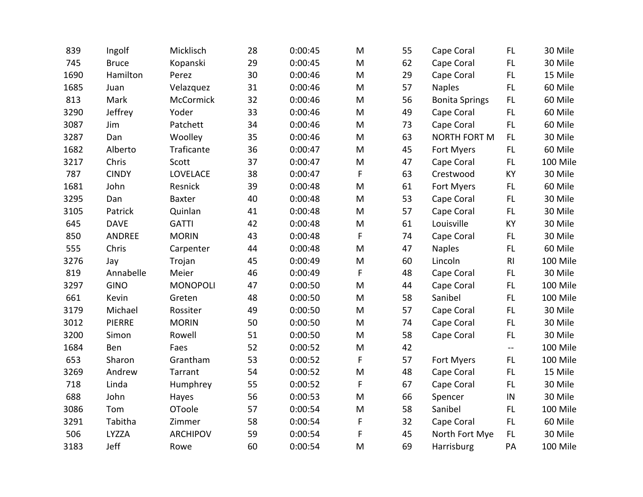| 839  | Ingolf        | Micklisch       | 28 | 0:00:45 | M           | 55 | Cape Coral            | FL.                       | 30 Mile  |
|------|---------------|-----------------|----|---------|-------------|----|-----------------------|---------------------------|----------|
| 745  | <b>Bruce</b>  | Kopanski        | 29 | 0:00:45 | M           | 62 | Cape Coral            | FL.                       | 30 Mile  |
| 1690 | Hamilton      | Perez           | 30 | 0:00:46 | M           | 29 | Cape Coral            | FL.                       | 15 Mile  |
| 1685 | Juan          | Velazquez       | 31 | 0:00:46 | M           | 57 | <b>Naples</b>         | FL.                       | 60 Mile  |
| 813  | Mark          | McCormick       | 32 | 0:00:46 | M           | 56 | <b>Bonita Springs</b> | FL.                       | 60 Mile  |
| 3290 | Jeffrey       | Yoder           | 33 | 0:00:46 | M           | 49 | Cape Coral            | FL.                       | 60 Mile  |
| 3087 | Jim           | Patchett        | 34 | 0:00:46 | M           | 73 | Cape Coral            | FL.                       | 60 Mile  |
| 3287 | Dan           | Woolley         | 35 | 0:00:46 | M           | 63 | <b>NORTH FORT M</b>   | FL.                       | 30 Mile  |
| 1682 | Alberto       | Traficante      | 36 | 0:00:47 | M           | 45 | Fort Myers            | FL.                       | 60 Mile  |
| 3217 | Chris         | Scott           | 37 | 0:00:47 | M           | 47 | Cape Coral            | FL.                       | 100 Mile |
| 787  | <b>CINDY</b>  | LOVELACE        | 38 | 0:00:47 | $\mathsf F$ | 63 | Crestwood             | KY                        | 30 Mile  |
| 1681 | John          | Resnick         | 39 | 0:00:48 | M           | 61 | Fort Myers            | FL.                       | 60 Mile  |
| 3295 | Dan           | <b>Baxter</b>   | 40 | 0:00:48 | M           | 53 | Cape Coral            | FL.                       | 30 Mile  |
| 3105 | Patrick       | Quinlan         | 41 | 0:00:48 | M           | 57 | Cape Coral            | FL.                       | 30 Mile  |
| 645  | <b>DAVE</b>   | <b>GATTI</b>    | 42 | 0:00:48 | M           | 61 | Louisville            | KY                        | 30 Mile  |
| 850  | ANDREE        | <b>MORIN</b>    | 43 | 0:00:48 | F           | 74 | Cape Coral            | FL.                       | 30 Mile  |
| 555  | Chris         | Carpenter       | 44 | 0:00:48 | M           | 47 | <b>Naples</b>         | FL.                       | 60 Mile  |
| 3276 | Jay           | Trojan          | 45 | 0:00:49 | M           | 60 | Lincoln               | RI                        | 100 Mile |
| 819  | Annabelle     | Meier           | 46 | 0:00:49 | $\mathsf F$ | 48 | Cape Coral            | FL.                       | 30 Mile  |
| 3297 | <b>GINO</b>   | <b>MONOPOLI</b> | 47 | 0:00:50 | M           | 44 | Cape Coral            | FL.                       | 100 Mile |
| 661  | Kevin         | Greten          | 48 | 0:00:50 | M           | 58 | Sanibel               | FL                        | 100 Mile |
| 3179 | Michael       | Rossiter        | 49 | 0:00:50 | M           | 57 | Cape Coral            | FL.                       | 30 Mile  |
| 3012 | <b>PIERRE</b> | <b>MORIN</b>    | 50 | 0:00:50 | M           | 74 | Cape Coral            | FL.                       | 30 Mile  |
| 3200 | Simon         | Rowell          | 51 | 0:00:50 | M           | 58 | Cape Coral            | FL.                       | 30 Mile  |
| 1684 | Ben           | Faes            | 52 | 0:00:52 | M           | 42 |                       | $\mathbb{L}^{\mathbb{L}}$ | 100 Mile |
| 653  | Sharon        | Grantham        | 53 | 0:00:52 | $\mathsf F$ | 57 | Fort Myers            | FL.                       | 100 Mile |
| 3269 | Andrew        | Tarrant         | 54 | 0:00:52 | M           | 48 | Cape Coral            | FL.                       | 15 Mile  |
| 718  | Linda         | Humphrey        | 55 | 0:00:52 | F           | 67 | Cape Coral            | FL.                       | 30 Mile  |
| 688  | John          | Hayes           | 56 | 0:00:53 | M           | 66 | Spencer               | ${\sf IN}$                | 30 Mile  |
| 3086 | Tom           | <b>OToole</b>   | 57 | 0:00:54 | M           | 58 | Sanibel               | FL.                       | 100 Mile |
| 3291 | Tabitha       | Zimmer          | 58 | 0:00:54 | F           | 32 | Cape Coral            | FL.                       | 60 Mile  |
| 506  | LYZZA         | <b>ARCHIPOV</b> | 59 | 0:00:54 | F           | 45 | North Fort Mye        | FL.                       | 30 Mile  |
| 3183 | Jeff          | Rowe            | 60 | 0:00:54 | M           | 69 | Harrisburg            | PA                        | 100 Mile |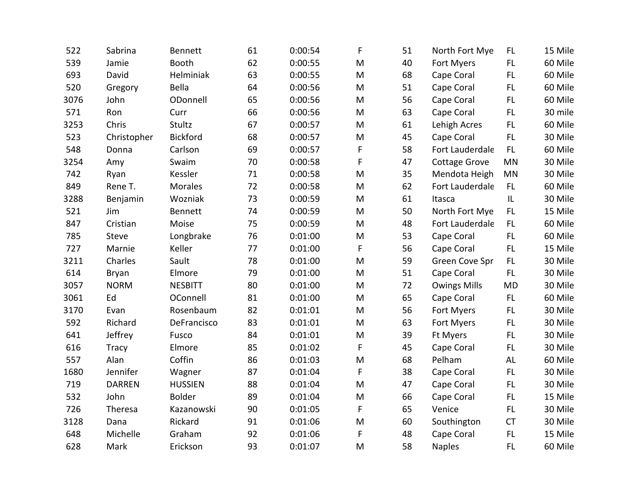| 522  | Sabrina       | <b>Bennett</b>  | 61 | 0:00:54 | F           | 51 | North Fort Mye      | FL.       | 15 Mile |
|------|---------------|-----------------|----|---------|-------------|----|---------------------|-----------|---------|
| 539  | Jamie         | Booth           | 62 | 0:00:55 | M           | 40 | Fort Myers          | FL.       | 60 Mile |
| 693  | David         | Helminiak       | 63 | 0:00:55 | M           | 68 | Cape Coral          | FL        | 60 Mile |
| 520  | Gregory       | Bella           | 64 | 0:00:56 | M           | 51 | Cape Coral          | FL.       | 60 Mile |
| 3076 | John          | ODonnell        | 65 | 0:00:56 | M           | 56 | Cape Coral          | FL        | 60 Mile |
| 571  | Ron           | Curr            | 66 | 0:00:56 | M           | 63 | Cape Coral          | FL.       | 30 mile |
| 3253 | Chris         | Stultz          | 67 | 0:00:57 | M           | 61 | Lehigh Acres        | FL        | 60 Mile |
| 523  | Christopher   | <b>Bickford</b> | 68 | 0:00:57 | M           | 45 | Cape Coral          | FL        | 30 Mile |
| 548  | Donna         | Carlson         | 69 | 0:00:57 | F           | 58 | Fort Lauderdale     | FL.       | 60 Mile |
| 3254 | Amy           | Swaim           | 70 | 0:00:58 | F           | 47 | Cottage Grove       | <b>MN</b> | 30 Mile |
| 742  | Ryan          | Kessler         | 71 | 0:00:58 | M           | 35 | Mendota Heigh       | <b>MN</b> | 30 Mile |
| 849  | Rene T.       | Morales         | 72 | 0:00:58 | M           | 62 | Fort Lauderdale     | FL.       | 60 Mile |
| 3288 | Benjamin      | Wozniak         | 73 | 0:00:59 | M           | 61 | Itasca              | L         | 30 Mile |
| 521  | Jim           | <b>Bennett</b>  | 74 | 0:00:59 | M           | 50 | North Fort Mye      | <b>FL</b> | 15 Mile |
| 847  | Cristian      | Moise           | 75 | 0:00:59 | M           | 48 | Fort Lauderdale     | FL.       | 60 Mile |
| 785  | Steve         | Longbrake       | 76 | 0:01:00 | M           | 53 | Cape Coral          | FL.       | 60 Mile |
| 727  | Marnie        | Keller          | 77 | 0:01:00 | F           | 56 | Cape Coral          | FL.       | 15 Mile |
| 3211 | Charles       | Sault           | 78 | 0:01:00 | M           | 59 | Green Cove Spr      | <b>FL</b> | 30 Mile |
| 614  | Bryan         | Elmore          | 79 | 0:01:00 | M           | 51 | Cape Coral          | FL.       | 30 Mile |
| 3057 | <b>NORM</b>   | <b>NESBITT</b>  | 80 | 0:01:00 | M           | 72 | <b>Owings Mills</b> | <b>MD</b> | 30 Mile |
| 3061 | Ed            | OConnell        | 81 | 0:01:00 | M           | 65 | Cape Coral          | FL        | 60 Mile |
| 3170 | Evan          | Rosenbaum       | 82 | 0:01:01 | M           | 56 | Fort Myers          | FL.       | 30 Mile |
| 592  | Richard       | DeFrancisco     | 83 | 0:01:01 | M           | 63 | Fort Myers          | FL.       | 30 Mile |
| 641  | Jeffrey       | Fusco           | 84 | 0:01:01 | M           | 39 | Ft Myers            | FL.       | 30 Mile |
| 616  | <b>Tracy</b>  | Elmore          | 85 | 0:01:02 | $\mathsf F$ | 45 | Cape Coral          | FL        | 30 Mile |
| 557  | Alan          | Coffin          | 86 | 0:01:03 | M           | 68 | Pelham              | AL        | 60 Mile |
| 1680 | Jennifer      | Wagner          | 87 | 0:01:04 | $\mathsf F$ | 38 | Cape Coral          | <b>FL</b> | 30 Mile |
| 719  | <b>DARREN</b> | <b>HUSSIEN</b>  | 88 | 0:01:04 | M           | 47 | Cape Coral          | FL        | 30 Mile |
| 532  | John          | <b>Bolder</b>   | 89 | 0:01:04 | M           | 66 | Cape Coral          | FL        | 15 Mile |
| 726  | Theresa       | Kazanowski      | 90 | 0:01:05 | F           | 65 | Venice              | FL.       | 30 Mile |
| 3128 | Dana          | Rickard         | 91 | 0:01:06 | M           | 60 | Southington         | <b>CT</b> | 30 Mile |
| 648  | Michelle      | Graham          | 92 | 0:01:06 | F           | 48 | Cape Coral          | FL        | 15 Mile |
| 628  | Mark          | Erickson        | 93 | 0:01:07 | M           | 58 | <b>Naples</b>       | FL        | 60 Mile |